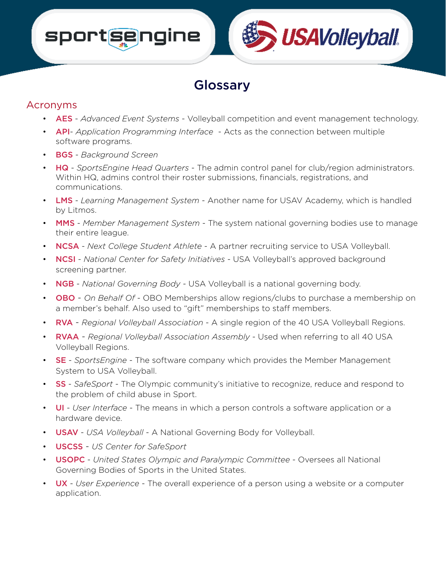# sportsengine

### Glossary

#### Acronyms

• AES - *Advanced Event Systems* - Volleyball competition and event management technology.

**USAVolleyball** 

- API- *Application Programming Interface* Acts as the connection between multiple software programs.
- BGS *Background Screen*
- HQ *SportsEngine Head Quarters* The admin control panel for club/region administrators. Within HQ, admins control their roster submissions, financials, registrations, and communications.
- LMS *Learning Management System* Another name for USAV Academy, which is handled by Litmos.
- MMS *Member Management System* The system national governing bodies use to manage their entire league.
- NCSA *Next College Student Athlete* A partner recruiting service to USA Volleyball.
- **NCSI** *National Center for Safety Initiatives* USA Volleyball's approved background screening partner.
- NGB *National Governing Body* USA Volleyball is a national governing body.
- OBO *On Behalf Of* OBO Memberships allow regions/clubs to purchase a membership on a member's behalf. Also used to "gift" memberships to staff members.
- RVA *Regional Volleyball Association* A single region of the 40 USA Volleyball Regions.
- RVAA *Regional Volleyball Association Assembly* Used when referring to all 40 USA Volleyball Regions.
- SE *SportsEngine* The software company which provides the Member Management System to USA Volleyball.
- SS *SafeSport*  The Olympic community's initiative to recognize, reduce and respond to the problem of child abuse in Sport.
- UI *User Interface* The means in which a person controls a software application or a hardware device.
- USAV *USA Volleyball* A National Governing Body for Volleyball.
- USCSS *US Center for SafeSport*
- USOPC *United States Olympic and Paralympic Committee* Oversees all National Governing Bodies of Sports in the United States.
- UX *User Experience* The overall experience of a person using a website or a computer application.